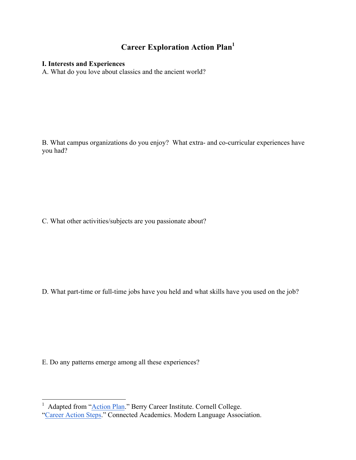# **Career Exploration Action Plan1**

#### **I. Interests and Experiences**

A. What do you love about classics and the ancient world?

B. What campus organizations do you enjoy? What extra- and co-curricular experiences have you had?

C. What other activities/subjects are you passionate about?

D. What part-time or full-time jobs have you held and what skills have you used on the job?

E. Do any patterns emerge among all these experiences?

<sup>1</sup> Adapted from "Action Plan." Berry Career Institute. Cornell College.

"Career Action Steps." Connected Academics. Modern Language Association.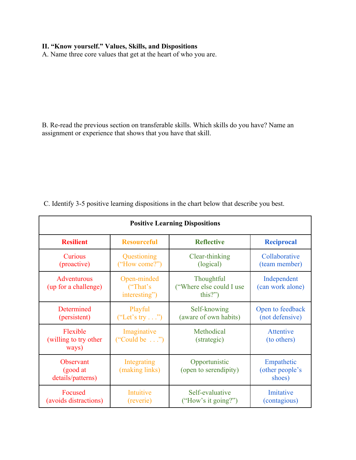## **II. "Know yourself." Values, Skills, and Dispositions**

A. Name three core values that get at the heart of who you are.

B. Re-read the previous section on transferable skills. Which skills do you have? Name an assignment or experience that shows that you have that skill.

| <b>Positive Learning Dispositions</b>             |                                          |                                                   |                                         |
|---------------------------------------------------|------------------------------------------|---------------------------------------------------|-----------------------------------------|
| <b>Resilient</b>                                  | <b>Resourceful</b>                       | <b>Reflective</b>                                 | <b>Reciprocal</b>                       |
| Curious<br>(proactive)                            | Questioning<br>("How come?")             | Clear-thinking<br>(logical)                       | Collaborative<br>(team member)          |
| <b>Adventurous</b><br>(up for a challenge)        | Open-minded<br>("That's<br>interesting") | Thoughtful<br>("Where else could I use<br>this?") | Independent<br>(can work alone)         |
| Determined<br>(persistent)                        | Playful<br>("Let's try $\ldots$ ")       | Self-knowing<br>(aware of own habits)             | Open to feedback<br>(not defensive)     |
| Flexible<br>(willing to try other)<br>ways)       | Imaginative<br>("Could be $\ldots$ ")    | Methodical<br>(strategic)                         | Attentive<br>(to others)                |
| <b>Observant</b><br>(good at<br>details/patterns) | Integrating<br>(making links)            | Opportunistic<br>(open to serendipity)            | Empathetic<br>(other people's<br>shoes) |
| Focused<br>(avoids distractions)                  | Intuitive<br>(reverie)                   | Self-evaluative<br>("How's it going?")            | Imitative<br>(contagious)               |

C. Identify 3-5 positive learning dispositions in the chart below that describe you best.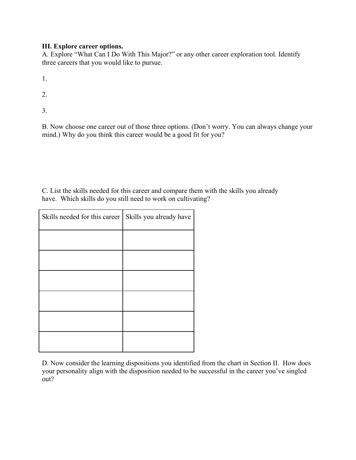### **III. Explore career options.**

A. Explore "What Can I Do With This Major?" or any other career exploration tool. Identify three careers that you would like to pursue.

1.

2.

3.

B. Now choose one career out of those three options. (Don't worry. You can always change your mind.) Why do you think this career would be a good fit for you?

C. List the skills needed for this career and compare them with the skills you already have. Which skills do you still need to work on cultivating?

| Skills needed for this career | Skills you already have |
|-------------------------------|-------------------------|
|                               |                         |
|                               |                         |
|                               |                         |
|                               |                         |
|                               |                         |
|                               |                         |

D. Now consider the learning dispositions you identified from the chart in Section II. How does your personality align with the disposition needed to be successful in the career you've singled out?